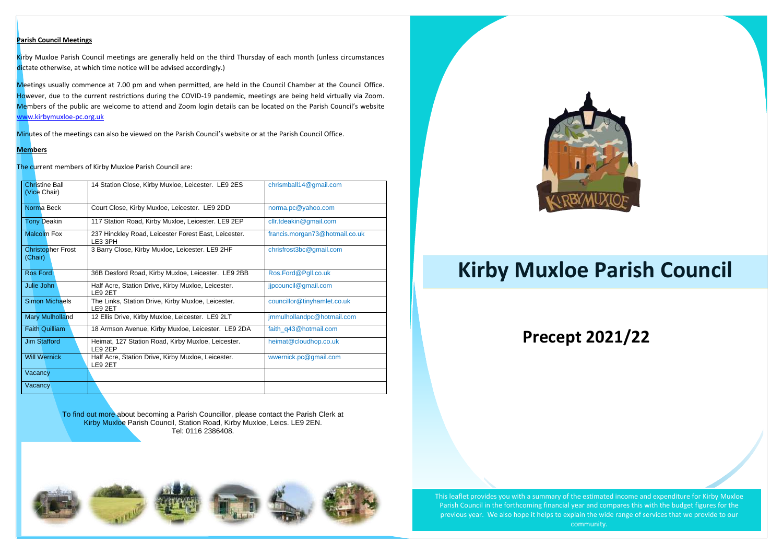## **Precept 2021/22**

### **Parish Council Meetings**

Kirby Muxloe Parish Council meetings are generally held on the third Thursday of each month (unless circumstances dictate otherwise, at which time notice will be advised accordingly.)

Meetings usually commence at 7.00 pm and when permitted, are held in the Council Chamber at the Council Office. However, due to the current restrictions during the COVID-19 pandemic, meetings are being held virtually via Zoom. Members of the public are welcome to attend and Zoom login details can be located on the Parish Council's website [www.kirbymuxloe-pc.org.uk](http://www.kirbymuxloe-pc.org.uk/)

Minutes of the meetings can also be viewed on the Parish Council's website or at the Parish Council Office.

#### **Members**

The current members of Kirby Muxloe Parish Council are:

To find out more about becoming a Parish Councillor, please contact the Parish Clerk at Kirby Muxloe Parish Council, Station Road, Kirby Muxloe, Leics. LE9 2EN. Tel: 0116 2386408.

| <b>Christine Ball</b><br>(Vice Chair) | 14 Station Close, Kirby Muxloe, Leicester. LE9 2ES              | chrismball14@gmail.com         |
|---------------------------------------|-----------------------------------------------------------------|--------------------------------|
| Norma Beck                            | Court Close, Kirby Muxloe, Leicester. LE9 2DD                   | norma.pc@yahoo.com             |
| <b>Tony Deakin</b>                    | 117 Station Road, Kirby Muxloe, Leicester. LE9 2EP              | cllr.tdeakin@gmail.com         |
| <b>Malcolm Fox</b>                    | 237 Hinckley Road, Leicester Forest East, Leicester.<br>LE3 3PH | francis.morgan73@hotmail.co.uk |
| <b>Christopher Frost</b><br>(Chair)   | 3 Barry Close, Kirby Muxloe, Leicester. LE9 2HF                 | chrisfrost3bc@gmail.com        |
| <b>Ros Ford</b>                       | 36B Desford Road, Kirby Muxloe, Leicester. LE9 2BB              | Ros.Ford@Pgll.co.uk            |
| Julie John                            | Half Acre, Station Drive, Kirby Muxloe, Leicester.<br>LE9 2ET   | jjpcouncil@gmail.com           |
| <b>Simon Michaels</b>                 | The Links, Station Drive, Kirby Muxloe, Leicester.<br>LE9 2ET   | councillor@tinyhamlet.co.uk    |
| <b>Mary Mulholland</b>                | 12 Ellis Drive, Kirby Muxloe, Leicester. LE9 2LT                | jmmulhollandpc@hotmail.com     |
| <b>Faith Quilliam</b>                 | 18 Armson Avenue, Kirby Muxloe, Leicester. LE9 2DA              | faith_q43@hotmail.com          |
| <b>Jim Stafford</b>                   | Heimat, 127 Station Road, Kirby Muxloe, Leicester.<br>LE9 2EP   | heimat@cloudhop.co.uk          |
| <b>Will Wernick</b>                   | Half Acre, Station Drive, Kirby Muxloe, Leicester.<br>LE9 2ET   | wwernick.pc@gmail.com          |
| Vacancy                               |                                                                 |                                |
| Vacancy                               |                                                                 |                                |

Email: [admin@kirbymuxloeparishcouncil.org.uk](mailto:admin@kirbymuxloeparishcouncil.org.uk)





# **Kirby Muxloe Parish Council**

This leaflet provides you with a summary of the estimated income and expenditure for Kirby Muxloe Parish Council in the forthcoming financial year and compares this with the budget figures for the previous year. We also hope it helps to explain the wide range of services that we provide to our community.